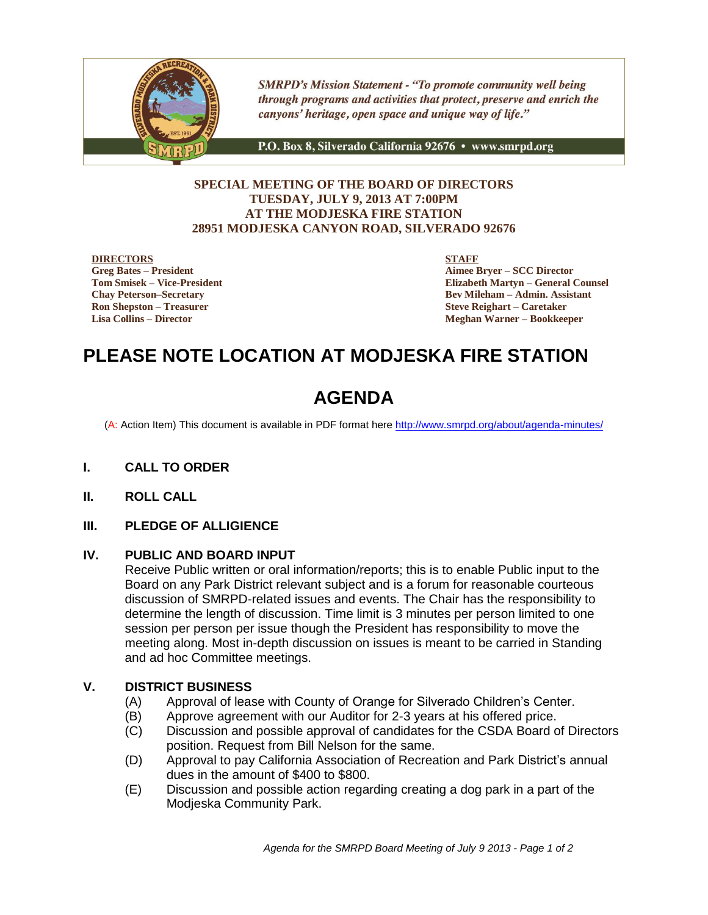

**SMRPD's Mission Statement - "To promote community well being** through programs and activities that protect, preserve and enrich the canyons' heritage, open space and unique way of life."

P.O. Box 8, Silverado California 92676 · www.smrpd.org

## **SPECIAL MEETING OF THE BOARD OF DIRECTORS TUESDAY, JULY 9, 2013 AT 7:00PM AT THE MODJESKA FIRE STATION 28951 MODJESKA CANYON ROAD, SILVERADO 92676**

#### **DIRECTORS**

**Greg Bates – President Tom Smisek – Vice-President Chay Peterson–Secretary Ron Shepston – Treasurer Lisa Collins – Director**

**STAFF**

**Aimee Bryer – SCC Director Elizabeth Martyn – General Counsel Bev Mileham – Admin. Assistant Steve Reighart – Caretaker Meghan Warner – Bookkeeper**

# **PLEASE NOTE LOCATION AT MODJESKA FIRE STATION**

# **AGENDA**

(A: Action Item) This document is available in PDF format here <http://www.smrpd.org/>about/agenda-minutes/

- **I. CALL TO ORDER**
- **II. ROLL CALL**

#### **III. PLEDGE OF ALLIGIENCE**

#### **IV. PUBLIC AND BOARD INPUT**

Receive Public written or oral information/reports; this is to enable Public input to the Board on any Park District relevant subject and is a forum for reasonable courteous discussion of SMRPD-related issues and events. The Chair has the responsibility to determine the length of discussion. Time limit is 3 minutes per person limited to one session per person per issue though the President has responsibility to move the meeting along. Most in-depth discussion on issues is meant to be carried in Standing and ad hoc Committee meetings.

#### **V. DISTRICT BUSINESS**

- (A) Approval of lease with County of Orange for Silverado Children's Center.
- (B) Approve agreement with our Auditor for 2-3 years at his offered price.
- (C) Discussion and possible approval of candidates for the CSDA Board of Directors position. Request from Bill Nelson for the same.
- (D) Approval to pay California Association of Recreation and Park District's annual dues in the amount of \$400 to \$800.
- (E) Discussion and possible action regarding creating a dog park in a part of the Modjeska Community Park.